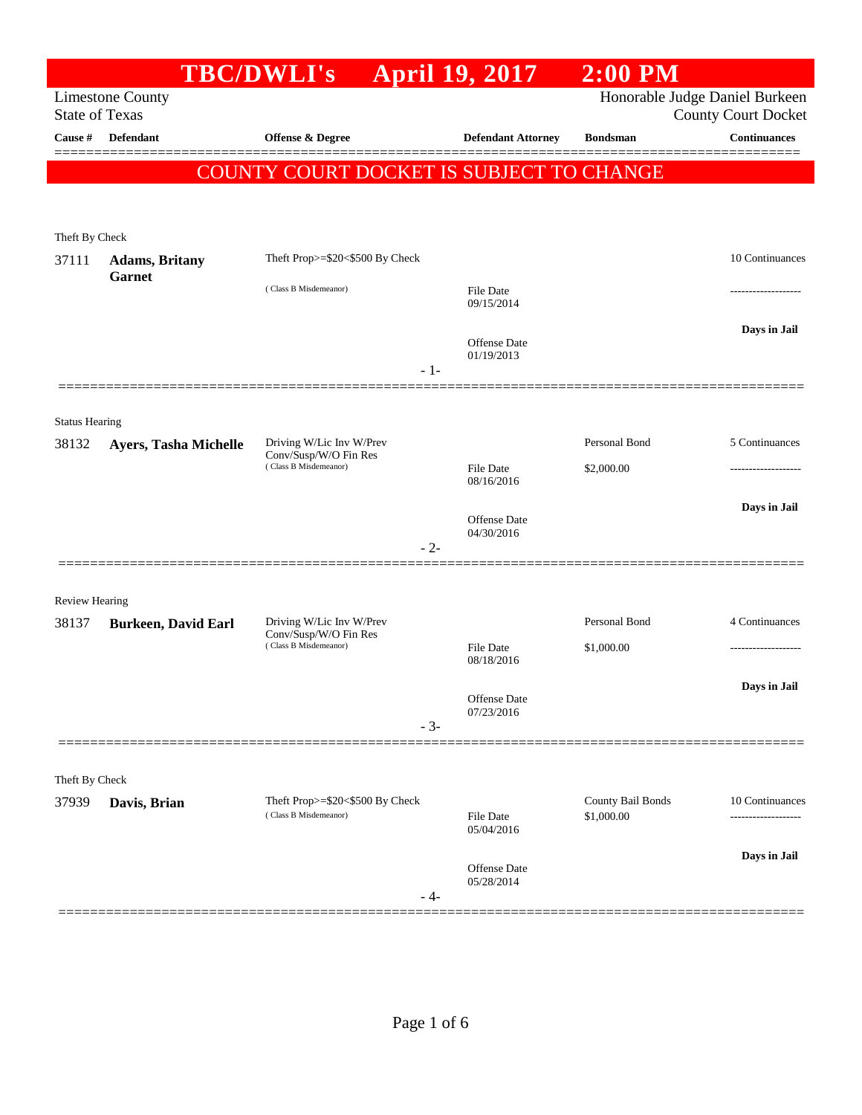|                                                                                                                  |                                  | <b>TBC/DWLI's</b>                                                          | <b>April 19, 2017</b>             | $2:00$ PM                       |                     |
|------------------------------------------------------------------------------------------------------------------|----------------------------------|----------------------------------------------------------------------------|-----------------------------------|---------------------------------|---------------------|
| Honorable Judge Daniel Burkeen<br><b>Limestone County</b><br><b>State of Texas</b><br><b>County Court Docket</b> |                                  |                                                                            |                                   |                                 |                     |
| Cause #                                                                                                          | Defendant                        | Offense & Degree                                                           | <b>Defendant Attorney</b>         | <b>Bondsman</b>                 | <b>Continuances</b> |
|                                                                                                                  |                                  |                                                                            |                                   |                                 |                     |
|                                                                                                                  |                                  | COUNTY COURT DOCKET IS SUBJECT TO CHANGE                                   |                                   |                                 |                     |
|                                                                                                                  |                                  |                                                                            |                                   |                                 |                     |
| Theft By Check                                                                                                   |                                  |                                                                            |                                   |                                 |                     |
| 37111                                                                                                            | <b>Adams</b> , Britany<br>Garnet | Theft Prop>=\$20<\$500 By Check                                            |                                   |                                 | 10 Continuances     |
|                                                                                                                  |                                  | (Class B Misdemeanor)                                                      | <b>File Date</b><br>09/15/2014    |                                 |                     |
|                                                                                                                  |                                  |                                                                            | <b>Offense Date</b>               |                                 | Days in Jail        |
|                                                                                                                  |                                  | $-1-$                                                                      | 01/19/2013                        |                                 |                     |
|                                                                                                                  |                                  |                                                                            |                                   |                                 |                     |
| <b>Status Hearing</b>                                                                                            |                                  |                                                                            |                                   |                                 |                     |
| 38132                                                                                                            | Ayers, Tasha Michelle            | Driving W/Lic Inv W/Prev<br>Conv/Susp/W/O Fin Res<br>(Class B Misdemeanor) |                                   | Personal Bond                   | 5 Continuances      |
|                                                                                                                  |                                  |                                                                            | <b>File Date</b><br>08/16/2016    | \$2,000.00                      |                     |
|                                                                                                                  |                                  |                                                                            |                                   |                                 | Days in Jail        |
|                                                                                                                  |                                  |                                                                            | <b>Offense Date</b><br>04/30/2016 |                                 |                     |
|                                                                                                                  | ===========                      | $-2-$                                                                      |                                   |                                 |                     |
|                                                                                                                  |                                  |                                                                            |                                   |                                 |                     |
| <b>Review Hearing</b><br>38137                                                                                   | <b>Burkeen, David Earl</b>       | Driving W/Lic Inv W/Prev<br>Conv/Susp/W/O Fin Res<br>(Class B Misdemeanor) |                                   | Personal Bond                   | 4 Continuances      |
|                                                                                                                  |                                  |                                                                            | <b>File Date</b>                  | \$1,000.00                      |                     |
|                                                                                                                  |                                  |                                                                            | 08/18/2016                        |                                 |                     |
|                                                                                                                  |                                  |                                                                            | Offense Date                      |                                 | Days in Jail        |
|                                                                                                                  |                                  | $-3-$                                                                      | 07/23/2016                        |                                 |                     |
|                                                                                                                  |                                  |                                                                            |                                   |                                 |                     |
| Theft By Check                                                                                                   |                                  |                                                                            |                                   |                                 |                     |
| 37939                                                                                                            | Davis, Brian                     | Theft Prop>=\$20<\$500 By Check<br>(Class B Misdemeanor)                   |                                   | County Bail Bonds<br>\$1,000.00 | 10 Continuances     |
|                                                                                                                  |                                  |                                                                            | <b>File Date</b><br>05/04/2016    |                                 | .                   |
|                                                                                                                  |                                  |                                                                            | Offense Date                      |                                 | Days in Jail        |
|                                                                                                                  |                                  | - 4-                                                                       | 05/28/2014                        |                                 |                     |
|                                                                                                                  |                                  |                                                                            |                                   |                                 |                     |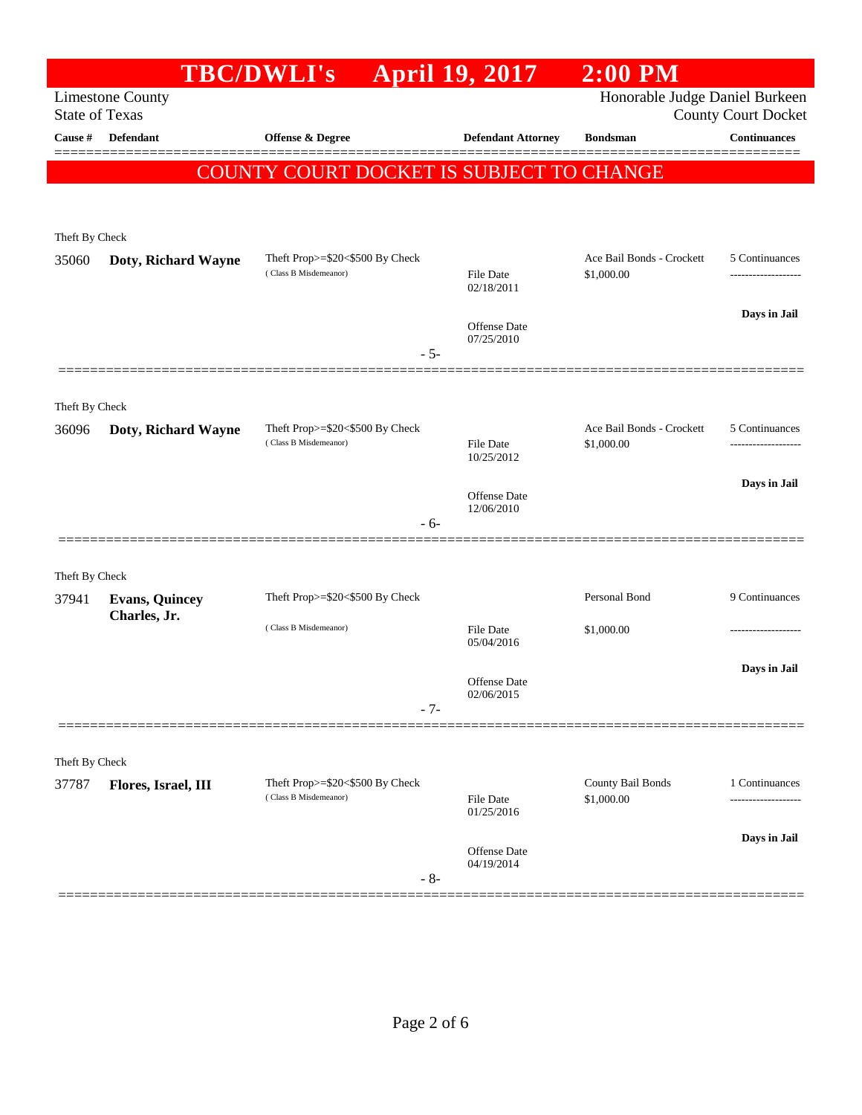|                                                                                    |                       | <b>TBC/DWLI's</b>                                        | <b>April 19, 2017</b>          | $2:00$ PM                               |                                                   |  |
|------------------------------------------------------------------------------------|-----------------------|----------------------------------------------------------|--------------------------------|-----------------------------------------|---------------------------------------------------|--|
| Honorable Judge Daniel Burkeen<br><b>Limestone County</b><br><b>State of Texas</b> |                       |                                                          |                                |                                         |                                                   |  |
| Cause #                                                                            | <b>Defendant</b>      | <b>Offense &amp; Degree</b>                              | <b>Defendant Attorney</b>      | <b>Bondsman</b>                         | <b>County Court Docket</b><br><b>Continuances</b> |  |
|                                                                                    |                       |                                                          |                                |                                         |                                                   |  |
|                                                                                    |                       | COUNTY COURT DOCKET IS SUBJECT TO CHANGE                 |                                |                                         |                                                   |  |
|                                                                                    |                       |                                                          |                                |                                         |                                                   |  |
| Theft By Check                                                                     |                       |                                                          |                                |                                         |                                                   |  |
| 35060                                                                              | Doty, Richard Wayne   | Theft Prop>=\$20<\$500 By Check                          |                                | Ace Bail Bonds - Crockett               | 5 Continuances                                    |  |
|                                                                                    |                       | (Class B Misdemeanor)                                    | <b>File Date</b><br>02/18/2011 | \$1,000.00                              |                                                   |  |
|                                                                                    |                       |                                                          |                                |                                         | Days in Jail                                      |  |
|                                                                                    |                       |                                                          | Offense Date<br>07/25/2010     |                                         |                                                   |  |
|                                                                                    |                       | $-5-$                                                    |                                |                                         |                                                   |  |
|                                                                                    |                       |                                                          |                                |                                         |                                                   |  |
| Theft By Check                                                                     |                       |                                                          |                                |                                         |                                                   |  |
| 36096                                                                              | Doty, Richard Wayne   | Theft Prop>=\$20<\$500 By Check<br>(Class B Misdemeanor) | <b>File Date</b>               | Ace Bail Bonds - Crockett<br>\$1,000.00 | 5 Continuances<br>.                               |  |
|                                                                                    |                       |                                                          | 10/25/2012                     |                                         |                                                   |  |
|                                                                                    |                       |                                                          | <b>Offense Date</b>            |                                         | Days in Jail                                      |  |
|                                                                                    |                       | $-6-$                                                    | 12/06/2010                     |                                         |                                                   |  |
|                                                                                    |                       |                                                          |                                |                                         |                                                   |  |
| Theft By Check                                                                     |                       |                                                          |                                |                                         |                                                   |  |
| 37941                                                                              | <b>Evans, Quincey</b> | Theft Prop>=\$20<\$500 By Check                          |                                | Personal Bond                           | 9 Continuances                                    |  |
|                                                                                    | Charles, Jr.          | (Class B Misdemeanor)                                    | <b>File Date</b>               | \$1,000.00                              |                                                   |  |
|                                                                                    |                       |                                                          | 05/04/2016                     |                                         |                                                   |  |
|                                                                                    |                       |                                                          | <b>Offense Date</b>            |                                         | Days in Jail                                      |  |
|                                                                                    |                       | $-7-$                                                    | 02/06/2015                     |                                         |                                                   |  |
|                                                                                    |                       |                                                          |                                |                                         |                                                   |  |
| Theft By Check                                                                     |                       |                                                          |                                |                                         |                                                   |  |
| 37787                                                                              | Flores, Israel, III   | Theft Prop>=\$20<\$500 By Check                          |                                | County Bail Bonds                       | 1 Continuances                                    |  |
|                                                                                    |                       | (Class B Misdemeanor)                                    | <b>File Date</b><br>01/25/2016 | \$1,000.00                              |                                                   |  |
|                                                                                    |                       |                                                          |                                |                                         | Days in Jail                                      |  |
|                                                                                    |                       |                                                          | Offense Date<br>04/19/2014     |                                         |                                                   |  |
|                                                                                    |                       | $-8-$                                                    |                                |                                         |                                                   |  |
|                                                                                    |                       |                                                          |                                |                                         |                                                   |  |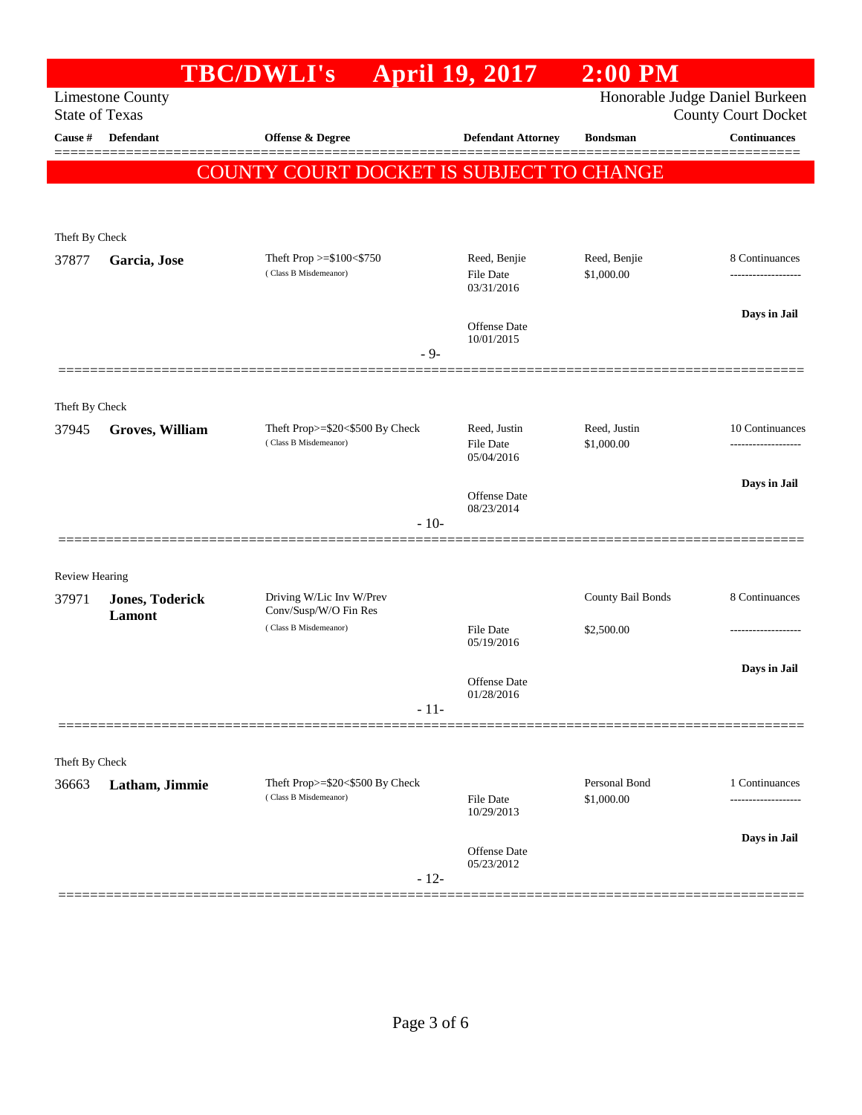|                                                                                                                  |                                  | <b>TBC/DWLI's</b>                                        | <b>April 19, 2017</b>                          | $2:00$ PM                   |                     |
|------------------------------------------------------------------------------------------------------------------|----------------------------------|----------------------------------------------------------|------------------------------------------------|-----------------------------|---------------------|
| Honorable Judge Daniel Burkeen<br><b>Limestone County</b><br><b>State of Texas</b><br><b>County Court Docket</b> |                                  |                                                          |                                                |                             |                     |
| Cause #                                                                                                          | <b>Defendant</b>                 | Offense & Degree                                         | <b>Defendant Attorney</b>                      | <b>Bondsman</b>             | <b>Continuances</b> |
|                                                                                                                  |                                  | <b>COUNTY COURT DOCKET IS SUBJECT TO CHANGE</b>          |                                                |                             |                     |
|                                                                                                                  |                                  |                                                          |                                                |                             |                     |
| Theft By Check                                                                                                   |                                  |                                                          |                                                |                             |                     |
| 37877                                                                                                            | Garcia, Jose                     | Theft Prop >=\$100<\$750<br>(Class B Misdemeanor)        | Reed, Benjie<br>File Date<br>03/31/2016        | Reed, Benjie<br>\$1,000.00  | 8 Continuances      |
|                                                                                                                  |                                  | $-9-$                                                    | <b>Offense Date</b><br>10/01/2015              |                             | Days in Jail        |
|                                                                                                                  |                                  |                                                          |                                                |                             |                     |
| Theft By Check                                                                                                   |                                  |                                                          |                                                |                             |                     |
| 37945                                                                                                            | <b>Groves, William</b>           | Theft Prop>=\$20<\$500 By Check<br>(Class B Misdemeanor) | Reed, Justin<br><b>File Date</b><br>05/04/2016 | Reed, Justin<br>\$1,000.00  | 10 Continuances     |
|                                                                                                                  |                                  |                                                          | <b>Offense</b> Date<br>08/23/2014              |                             | Days in Jail        |
|                                                                                                                  |                                  | $-10-$                                                   |                                                |                             |                     |
| <b>Review Hearing</b>                                                                                            |                                  |                                                          |                                                |                             |                     |
| 37971                                                                                                            | <b>Jones, Toderick</b><br>Lamont | Driving W/Lic Inv W/Prev<br>Conv/Susp/W/O Fin Res        |                                                | County Bail Bonds           | 8 Continuances      |
|                                                                                                                  |                                  | (Class B Misdemeanor)                                    | File Date<br>05/19/2016                        | \$2,500.00                  | --------------      |
|                                                                                                                  |                                  |                                                          | Offense Date<br>01/28/2016                     |                             | Days in Jail        |
|                                                                                                                  |                                  | $-11-$                                                   |                                                |                             |                     |
| Theft By Check                                                                                                   |                                  |                                                          |                                                |                             |                     |
| 36663                                                                                                            | Latham, Jimmie                   | Theft Prop>=\$20<\$500 By Check<br>(Class B Misdemeanor) | <b>File Date</b><br>10/29/2013                 | Personal Bond<br>\$1,000.00 | 1 Continuances      |
|                                                                                                                  |                                  |                                                          | Offense Date<br>05/23/2012                     |                             | Days in Jail        |
|                                                                                                                  |                                  | $-12-$                                                   |                                                |                             |                     |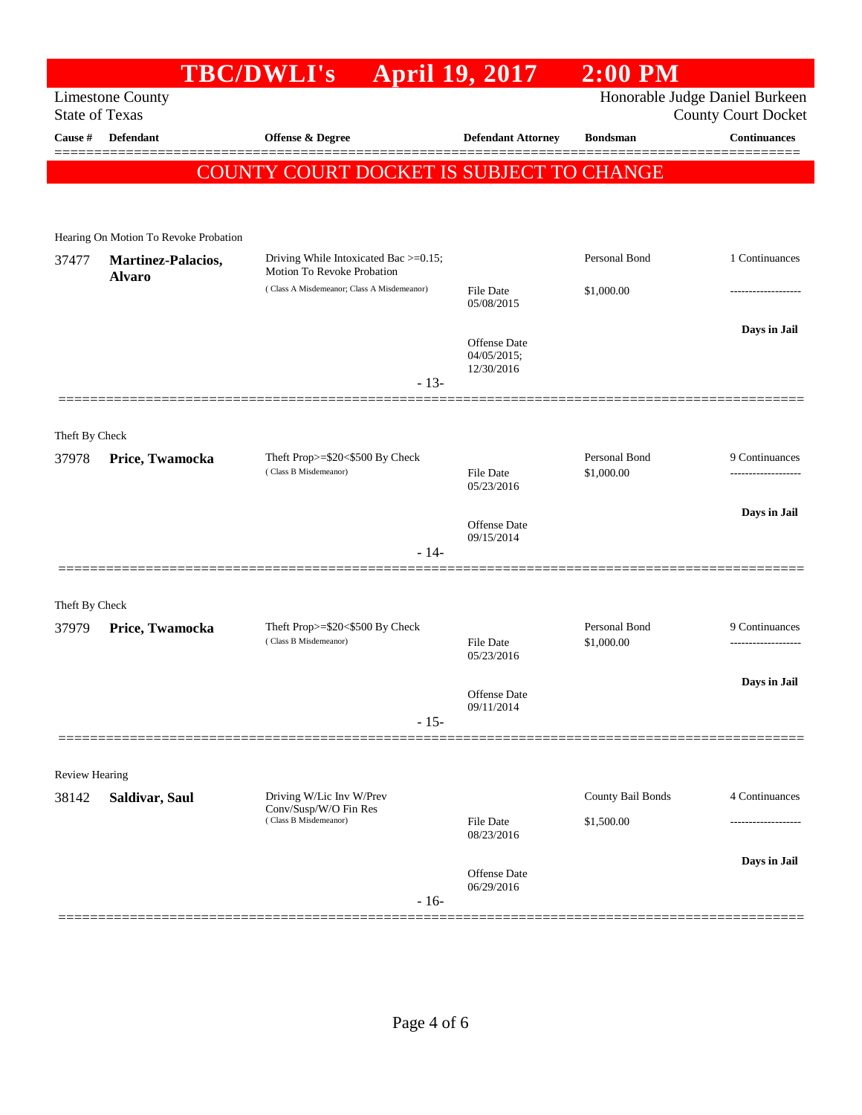## **TBC/DWLI's April 19, 2017 2:00 PM** Limestone County Honorable Judge Daniel Burkeen State of Texas County Court Docket **Cause # Defendant Offense & Degree Defendant Attorney Bondsman Continuances** ============================================================================================== COUNTY COURT DOCKET IS SUBJECT TO CHANGE Hearing On Motion To Revoke Probation 37477 **Martinez-Palacios, Alvaro** Driving While Intoxicated Bac >=0.15; Motion To Revoke Probation Personal Bond 1 Continuances  $( Class A Misdemeanor; Class A Misdemeanor)$   $File Date$   $$1,000,00$ 05/08/2015 **Days in Jail**  Offense Date 04/05/2015; 12/30/2016 - 13- ============================================================================================== Theft By Check 37978 **Price, Twamocka** Theft Prop>=\$20<\$500 By Check Personal Bond 9 Continuances ( Class B Misdemeanor) File Date \$1,000.00 ------------------- 05/23/2016 **Days in Jail**  Offense Date 09/15/2014 - 14- ============================================================================================== Theft By Check 37979 **Price, Twamocka** Theft Prop>=\$20<\$500 By Check Personal Bond 9 Continuances<br>
(Class B Misdemeanor) File Date \$1,000.00 **Price, Twamocka** (Class B Misdemeanor) ( Class B Misdemeanor) File Date \$1,000.00 ------------------- 05/23/2016 **Days in Jail**  Offense Date 09/11/2014 - 15- ============================================================================================== Review Hearing 38142 **Saldivar, Saul** Driving W/Lic Inv W/Prev Conv/Susp/W/O Fin Res County Bail Bonds 4 Continuances  $( Class B \nMisdeneanor)$  File Date  $$1,500.00$ 08/23/2016 **Days in Jail**  Offense Date 06/29/2016 - 16- ==============================================================================================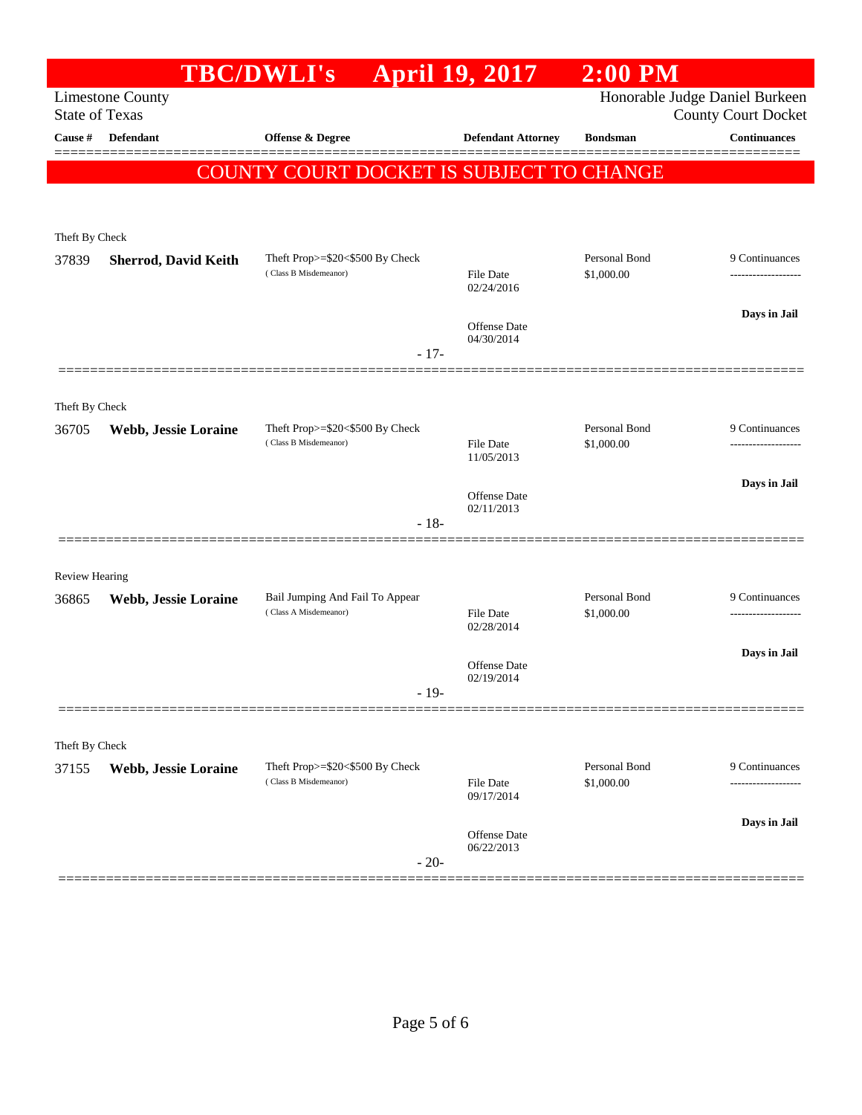|                         |                             | <b>TBC/DWLI's</b>                                                  | <b>April 19, 2017</b>             | $2:00$ PM                   |                                                              |
|-------------------------|-----------------------------|--------------------------------------------------------------------|-----------------------------------|-----------------------------|--------------------------------------------------------------|
| <b>State of Texas</b>   | <b>Limestone County</b>     |                                                                    |                                   |                             | Honorable Judge Daniel Burkeen<br><b>County Court Docket</b> |
| Cause #                 | <b>Defendant</b>            | Offense & Degree                                                   | <b>Defendant Attorney</b>         | <b>Bondsman</b>             | <b>Continuances</b>                                          |
|                         |                             | <b>COUNTY COURT DOCKET IS SUBJECT TO CHANGE</b>                    |                                   |                             |                                                              |
|                         |                             |                                                                    |                                   |                             |                                                              |
| Theft By Check<br>37839 | <b>Sherrod, David Keith</b> | Theft Prop>=\$20<\$500 By Check                                    |                                   | Personal Bond               | 9 Continuances                                               |
|                         |                             | (Class B Misdemeanor)                                              | File Date<br>02/24/2016           | \$1,000.00                  |                                                              |
|                         |                             |                                                                    | <b>Offense Date</b><br>04/30/2014 |                             | Days in Jail                                                 |
|                         |                             | $-17-$                                                             |                                   |                             |                                                              |
| Theft By Check          |                             |                                                                    |                                   |                             |                                                              |
| 36705                   | Webb, Jessie Loraine        | Theft Prop>=\$20<\$500 By Check<br>(Class B Misdemeanor)           |                                   | Personal Bond               | 9 Continuances                                               |
|                         |                             |                                                                    | File Date<br>11/05/2013           | \$1,000.00                  |                                                              |
|                         |                             |                                                                    | Offense Date                      |                             | Days in Jail                                                 |
|                         |                             | $-18-$                                                             | 02/11/2013                        |                             |                                                              |
|                         |                             |                                                                    |                                   |                             |                                                              |
| <b>Review Hearing</b>   |                             |                                                                    |                                   |                             |                                                              |
| 36865                   | Webb, Jessie Loraine        | Bail Jumping And Fail To Appear<br>(Class A Misdemeanor)<br>$-19-$ | File Date                         | Personal Bond<br>\$1,000.00 | 9 Continuances                                               |
|                         |                             |                                                                    | 02/28/2014                        |                             |                                                              |
|                         |                             |                                                                    | <b>Offense</b> Date               |                             | Days in Jail                                                 |
|                         |                             |                                                                    | 02/19/2014                        |                             |                                                              |
|                         |                             |                                                                    |                                   |                             |                                                              |
| Theft By Check          |                             |                                                                    |                                   |                             |                                                              |
| 37155                   | Webb, Jessie Loraine        | Theft Prop>=\$20<\$500 By Check<br>(Class B Misdemeanor)           | <b>File Date</b><br>09/17/2014    | Personal Bond<br>\$1,000.00 | 9 Continuances                                               |
|                         |                             |                                                                    |                                   |                             | Days in Jail                                                 |
|                         |                             | $-20-$                                                             | Offense Date<br>06/22/2013        |                             |                                                              |